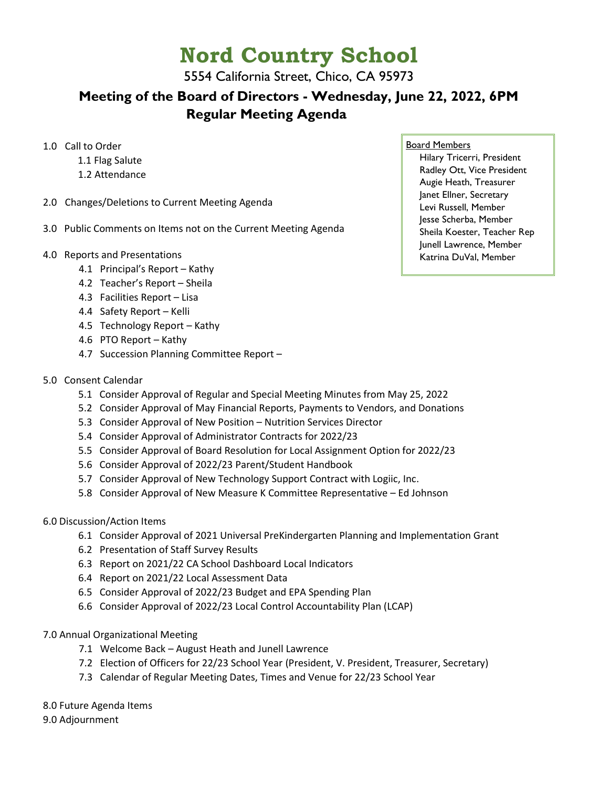# **Nord Country School**

5554 California Street, Chico, CA 95973

# **Meeting of the Board of Directors - Wednesday, June 22, 2022, 6PM Regular Meeting Agenda**

- 1.0 Call to Order
	- 1.1 Flag Salute
	- 1.2 Attendance
- 2.0 Changes/Deletions to Current Meeting Agenda
- 3.0 Public Comments on Items not on the Current Meeting Agenda
- 4.0 Reports and Presentations
	- 4.1 Principal's Report Kathy
	- 4.2 Teacher's Report Sheila
	- 4.3 Facilities Report Lisa
	- 4.4 Safety Report Kelli
	- 4.5 Technology Report Kathy
	- 4.6 PTO Report Kathy
	- 4.7 Succession Planning Committee Report –

#### 5.0 Consent Calendar

- 5.1 Consider Approval of Regular and Special Meeting Minutes from May 25, 2022
- 5.2 Consider Approval of May Financial Reports, Payments to Vendors, and Donations
- 5.3 Consider Approval of New Position Nutrition Services Director
- 5.4 Consider Approval of Administrator Contracts for 2022/23
- 5.5 Consider Approval of Board Resolution for Local Assignment Option for 2022/23
- 5.6 Consider Approval of 2022/23 Parent/Student Handbook
- 5.7 Consider Approval of New Technology Support Contract with Logiic, Inc.
- 5.8 Consider Approval of New Measure K Committee Representative Ed Johnson
- 6.0 Discussion/Action Items
	- 6.1 Consider Approval of 2021 Universal PreKindergarten Planning and Implementation Grant
	- 6.2 Presentation of Staff Survey Results
	- 6.3 Report on 2021/22 CA School Dashboard Local Indicators
	- 6.4 Report on 2021/22 Local Assessment Data
	- 6.5 Consider Approval of 2022/23 Budget and EPA Spending Plan
	- 6.6 Consider Approval of 2022/23 Local Control Accountability Plan (LCAP)
- 7.0 Annual Organizational Meeting
	- 7.1 Welcome Back August Heath and Junell Lawrence
	- 7.2 Election of Officers for 22/23 School Year (President, V. President, Treasurer, Secretary)
	- 7.3 Calendar of Regular Meeting Dates, Times and Venue for 22/23 School Year
- 8.0 Future Agenda Items
- 9.0 Adjournment

#### Board Members

 Hilary Tricerri, President Radley Ott, Vice President Augie Heath, Treasurer Janet Ellner, Secretary Levi Russell, Member Jesse Scherba, Member Sheila Koester, Teacher Rep Junell Lawrence, Member Katrina DuVal, Member